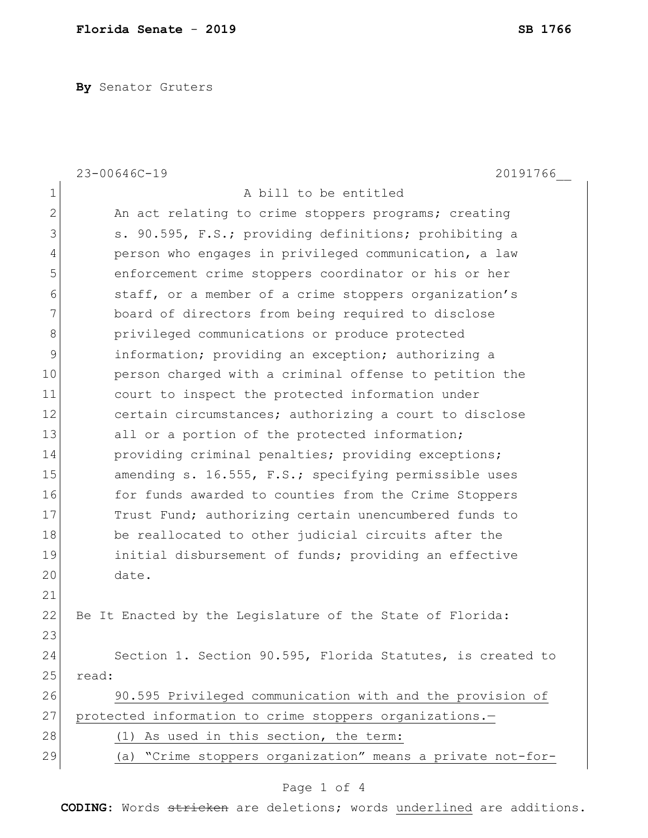**By** Senator Gruters

|              | $23 - 00646C - 19$<br>20191766                             |
|--------------|------------------------------------------------------------|
| $\mathbf 1$  | A bill to be entitled                                      |
| $\mathbf{2}$ | An act relating to crime stoppers programs; creating       |
| 3            | s. 90.595, F.S.; providing definitions; prohibiting a      |
| 4            | person who engages in privileged communication, a law      |
| 5            | enforcement crime stoppers coordinator or his or her       |
| 6            | staff, or a member of a crime stoppers organization's      |
| 7            | board of directors from being required to disclose         |
| 8            | privileged communications or produce protected             |
| 9            | information; providing an exception; authorizing a         |
| 10           | person charged with a criminal offense to petition the     |
| 11           | court to inspect the protected information under           |
| 12           | certain circumstances; authorizing a court to disclose     |
| 13           | all or a portion of the protected information;             |
| 14           | providing criminal penalties; providing exceptions;        |
| 15           | amending s. 16.555, F.S.; specifying permissible uses      |
| 16           | for funds awarded to counties from the Crime Stoppers      |
| 17           | Trust Fund; authorizing certain unencumbered funds to      |
| 18           | be reallocated to other judicial circuits after the        |
| 19           | initial disbursement of funds; providing an effective      |
| 20           | date.                                                      |
| 21           |                                                            |
| 22           | Be It Enacted by the Legislature of the State of Florida:  |
| 23           |                                                            |
| 24           | Section 1. Section 90.595, Florida Statutes, is created to |
| 25           | read:                                                      |
| 26           | 90.595 Privileged communication with and the provision of  |
| 27           | protected information to crime stoppers organizations.-    |
| 28           | (1) As used in this section, the term:                     |
| 29           | (a) "Crime stoppers organization" means a private not-for- |
|              |                                                            |

## Page 1 of 4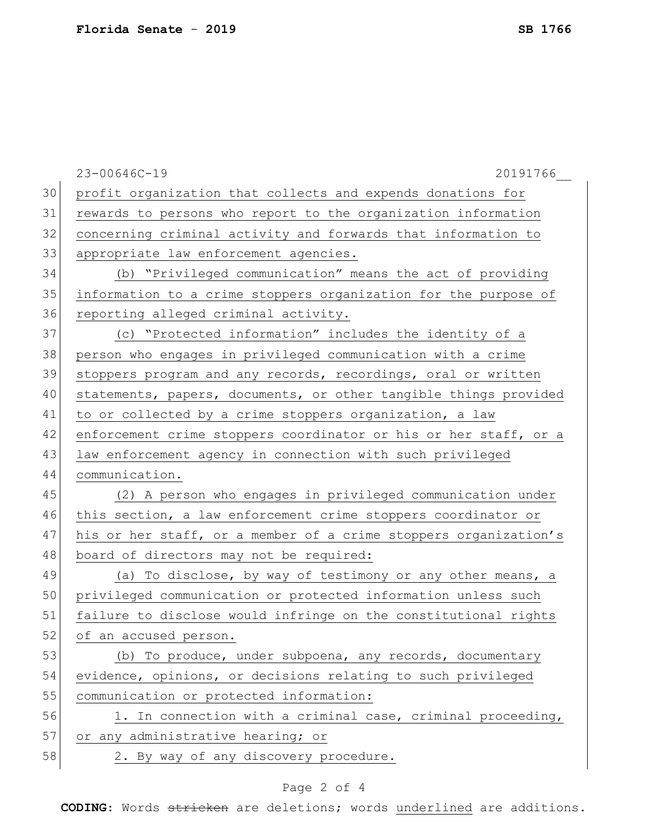|    | 23-00646C-19<br>20191766                                         |
|----|------------------------------------------------------------------|
| 30 | profit organization that collects and expends donations for      |
| 31 | rewards to persons who report to the organization information    |
| 32 | concerning criminal activity and forwards that information to    |
| 33 | appropriate law enforcement agencies.                            |
| 34 | (b) "Privileged communication" means the act of providing        |
| 35 | information to a crime stoppers organization for the purpose of  |
| 36 | reporting alleged criminal activity.                             |
| 37 | (c) "Protected information" includes the identity of a           |
| 38 | person who engages in privileged communication with a crime      |
| 39 | stoppers program and any records, recordings, oral or written    |
| 40 | statements, papers, documents, or other tangible things provided |
| 41 | to or collected by a crime stoppers organization, a law          |
| 42 | enforcement crime stoppers coordinator or his or her staff, or a |
| 43 | law enforcement agency in connection with such privileged        |
| 44 | communication.                                                   |
| 45 | (2) A person who engages in privileged communication under       |
| 46 | this section, a law enforcement crime stoppers coordinator or    |
| 47 | his or her staff, or a member of a crime stoppers organization's |
| 48 | board of directors may not be required:                          |
| 49 | (a) To disclose, by way of testimony or any other means, a       |
| 50 | privileged communication or protected information unless such    |
| 51 | failure to disclose would infringe on the constitutional rights  |
| 52 | of an accused person.                                            |
| 53 | (b) To produce, under subpoena, any records, documentary         |
| 54 | evidence, opinions, or decisions relating to such privileged     |
| 55 | communication or protected information:                          |
| 56 | 1. In connection with a criminal case, criminal proceeding,      |
| 57 | or any administrative hearing; or                                |
| 58 | 2. By way of any discovery procedure.                            |
|    |                                                                  |

## Page 2 of 4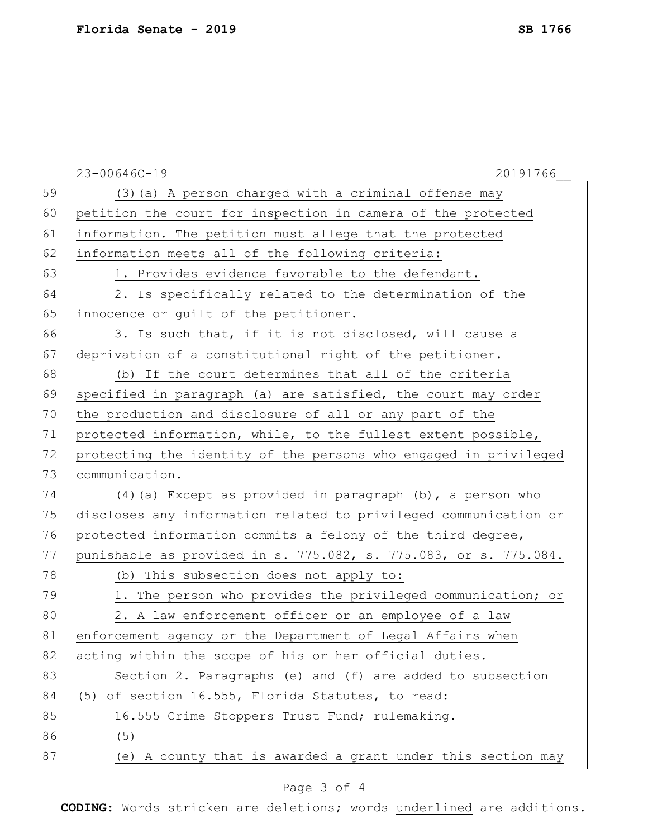|    | $23 - 00646C - 19$<br>20191766                                   |
|----|------------------------------------------------------------------|
| 59 | (3) (a) A person charged with a criminal offense may             |
| 60 | petition the court for inspection in camera of the protected     |
| 61 | information. The petition must allege that the protected         |
| 62 | information meets all of the following criteria:                 |
| 63 | 1. Provides evidence favorable to the defendant.                 |
| 64 | 2. Is specifically related to the determination of the           |
| 65 | innocence or guilt of the petitioner.                            |
| 66 | 3. Is such that, if it is not disclosed, will cause a            |
| 67 | deprivation of a constitutional right of the petitioner.         |
| 68 | (b) If the court determines that all of the criteria             |
| 69 | specified in paragraph (a) are satisfied, the court may order    |
| 70 | the production and disclosure of all or any part of the          |
| 71 | protected information, while, to the fullest extent possible,    |
| 72 | protecting the identity of the persons who engaged in privileged |
| 73 | communication.                                                   |
| 74 | (4) (a) Except as provided in paragraph (b), a person who        |
| 75 | discloses any information related to privileged communication or |
| 76 | protected information commits a felony of the third degree,      |
| 77 | punishable as provided in s. 775.082, s. 775.083, or s. 775.084. |
| 78 | (b) This subsection does not apply to:                           |
| 79 | 1. The person who provides the privileged communication; or      |
| 80 | 2. A law enforcement officer or an employee of a law             |
| 81 | enforcement agency or the Department of Legal Affairs when       |
| 82 | acting within the scope of his or her official duties.           |
| 83 | Section 2. Paragraphs (e) and (f) are added to subsection        |
| 84 | (5) of section 16.555, Florida Statutes, to read:                |
| 85 | 16.555 Crime Stoppers Trust Fund; rulemaking.-                   |
| 86 | (5)                                                              |
| 87 | (e) A county that is awarded a grant under this section may      |

## Page 3 of 4